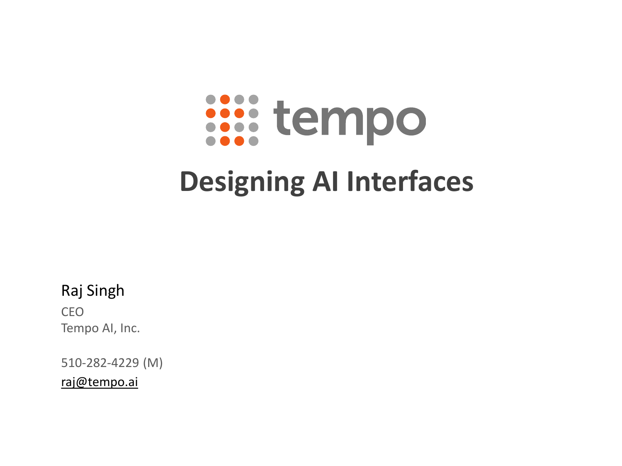# **issistempo**

# **Designing AI Interfaces**

Raj Singh

CEO Tempo AI, Inc.

510-282-4229 (M)

[raj@tempo.ai](mailto:raj@tempo.ai)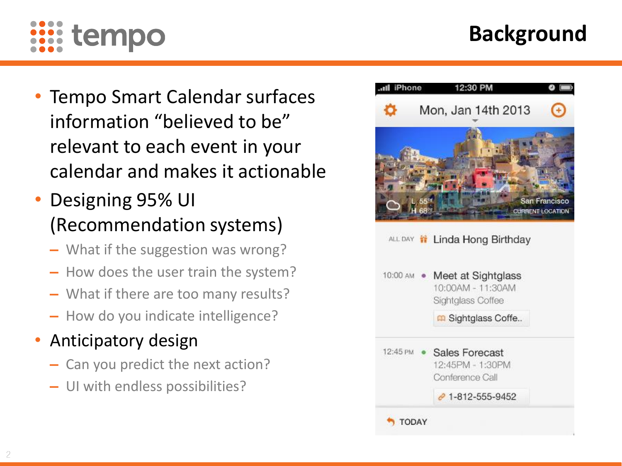

# **Background**

- Tempo Smart Calendar surfaces information "believed to be" relevant to each event in your calendar and makes it actionable
- Designing 95% UI (Recommendation systems)
	- **‒** What if the suggestion was wrong?
	- **‒** How does the user train the system?
	- **‒** What if there are too many results?
	- **‒** How do you indicate intelligence?
- Anticipatory design
	- **‒** Can you predict the next action?
	- **‒** UI with endless possibilities?

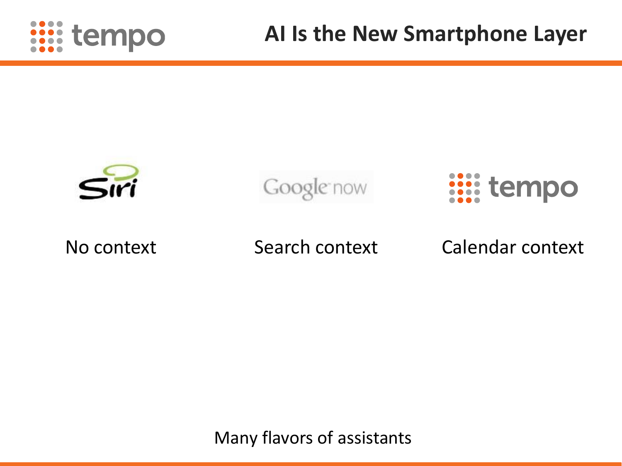



Many flavors of assistants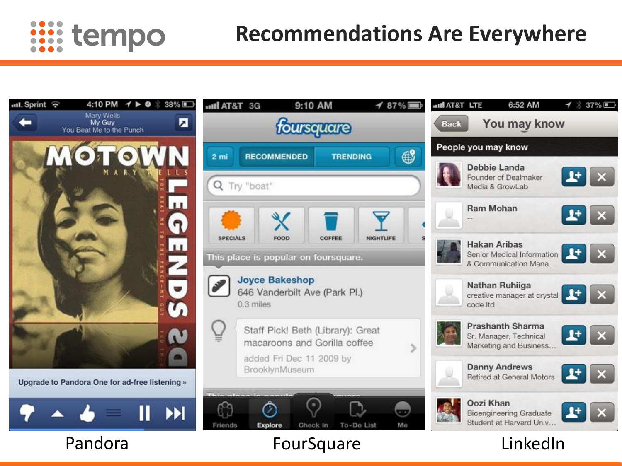

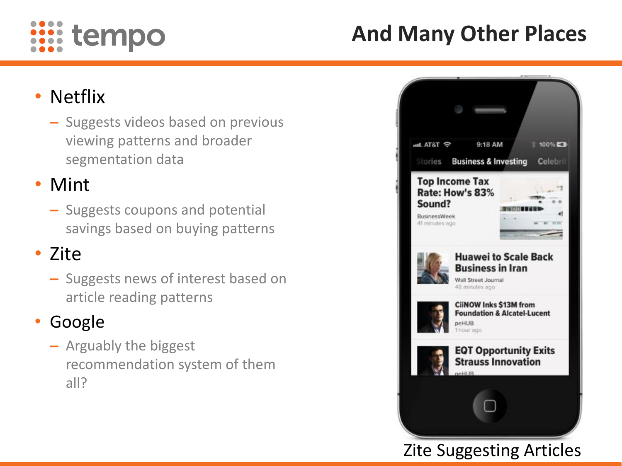

# **And Many Other Places**

## • Netflix

**‒** Suggests videos based on previous viewing patterns and broader segmentation data

### • Mint

**‒** Suggests coupons and potential savings based on buying patterns

### • Zite

**‒** Suggests news of interest based on article reading patterns

#### • Google

**‒** Arguably the biggest recommendation system of them all?



#### Zite Suggesting Articles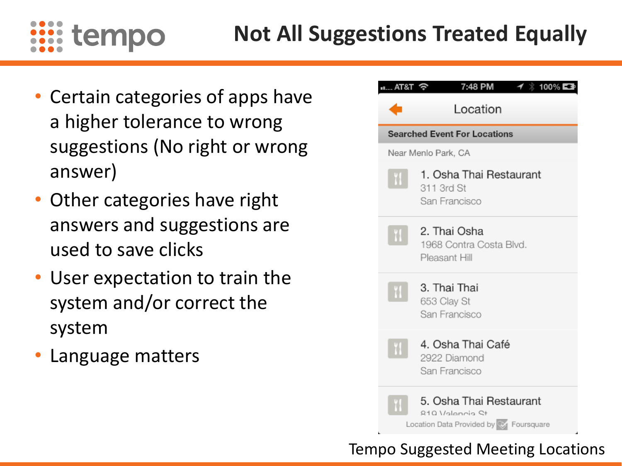

- Certain categories of apps have a higher tolerance to wrong suggestions (No right or wrong answer)
- Other categories have right answers and suggestions are used to save clicks
- User expectation to train the system and/or correct the system
- Language matters



#### Tempo Suggested Meeting Locations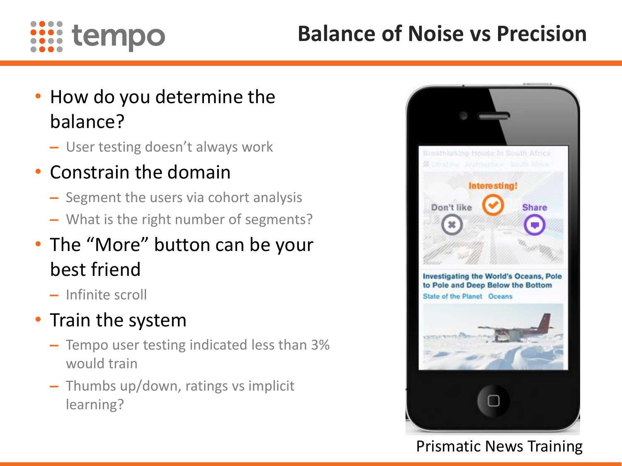

# **Balance of Noise vs Precision**

- How do you determine the balance?
	- **‒** User testing doesn't always work
- Constrain the domain
	- **‒** Segment the users via cohort analysis
	- **‒** What is the right number of segments?
- The "More" button can be your best friend
	- **‒** Infinite scroll
- Train the system
	- **‒** Tempo user testing indicated less than 3% would train
	- **‒** Thumbs up/down, ratings vs implicit learning?



#### Prismatic News Training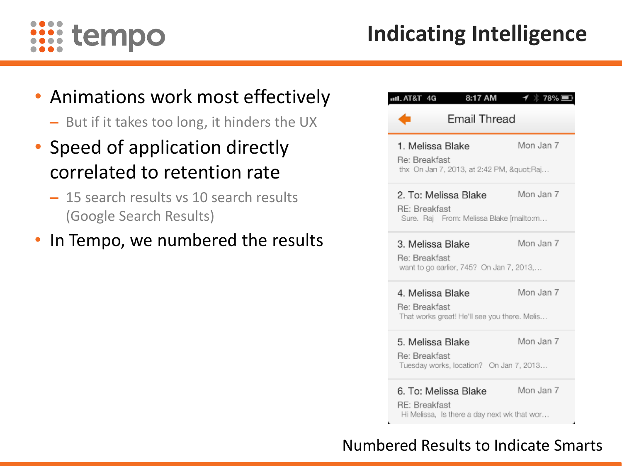

#### • Animations work most effectively

- **‒** But if it takes too long, it hinders the UX
- Speed of application directly correlated to retention rate
	- **‒** 15 search results vs 10 search results (Google Search Results)
- In Tempo, we numbered the results

| 8:17 AM<br><b>ull. AT&amp;T</b> 4G<br>Email Thread                                   | 1⁄ * 78% ■ |
|--------------------------------------------------------------------------------------|------------|
| 1. Melissa Blake<br>Re: Breakfast<br>thx On Jan 7, 2013, at 2:42 PM, "Raj            | Mon Jan 7  |
| 2. To: Melissa Blake<br>RE: Breakfast<br>Sure. Raj From: Melissa Blake [mailto:m     | Mon Jan 7  |
| 3. Melissa Blake<br>Re: Breakfast<br>want to go earlier, 745? On Jan 7, 2013,        | Mon Jan 7  |
| 4. Melissa Blake<br>Re: Breakfast<br>That works great! He'll see you there. Melis    | Mon Jan 7  |
| 5. Melissa Blake<br>Re: Breakfast<br>Tuesday works, location? On Jan 7, 2013         | Mon Jan 7  |
| 6. To: Melissa Blake<br>RE: Breakfast<br>Hi Melissa, Is there a day next wk that wor | Mon Jan 7  |

#### Numbered Results to Indicate Smarts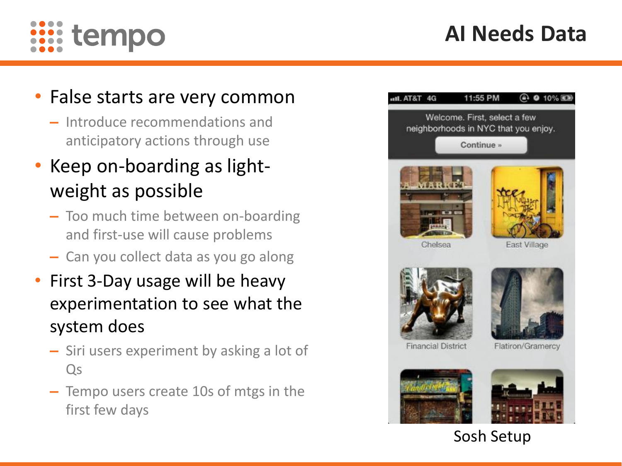# **AI Needs Data**



#### • False starts are very common

**‒** Introduce recommendations and anticipatory actions through use

# • Keep on-boarding as lightweight as possible

- **‒** Too much time between on-boarding and first-use will cause problems
- **‒** Can you collect data as you go along
- First 3-Day usage will be heavy experimentation to see what the system does
	- **‒** Siri users experiment by asking a lot of Qs
	- **‒** Tempo users create 10s of mtgs in the first few days

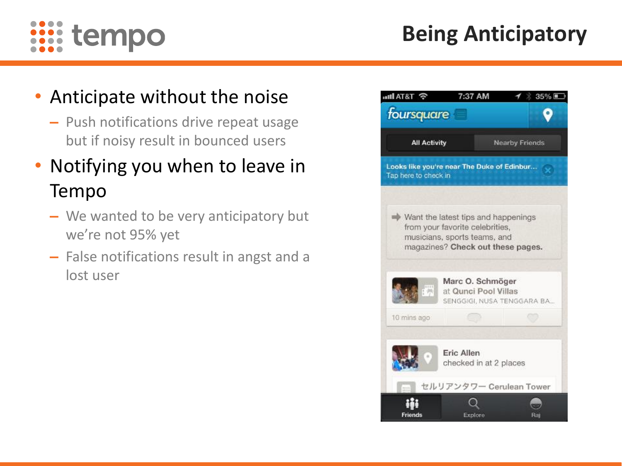

# **Being Anticipatory**

## • Anticipate without the noise

**‒** Push notifications drive repeat usage but if noisy result in bounced users

## • Notifying you when to leave in Tempo

- **‒** We wanted to be very anticipatory but we're not 95% yet
- **‒** False notifications result in angst and a lost user